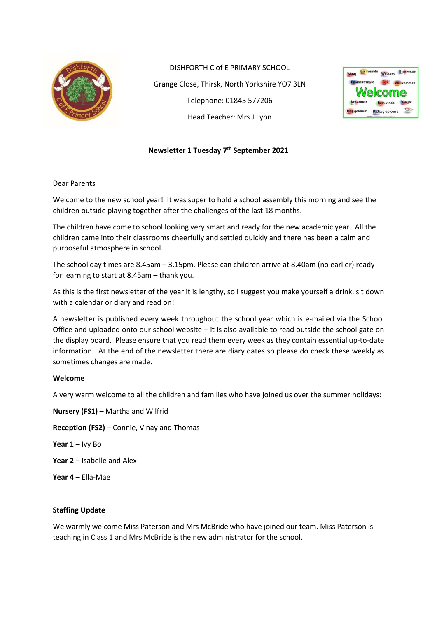

DISHFORTH C of E PRIMARY SCHOOL Grange Close, Thirsk, North Yorkshire YO7 3LN Telephone: 01845 577206 Head Teacher: Mrs J Lyon



### Newsletter 1 Tuesday 7<sup>th</sup> September 2021

Dear Parents

Welcome to the new school year! It was super to hold a school assembly this morning and see the children outside playing together after the challenges of the last 18 months.

The children have come to school looking very smart and ready for the new academic year. All the children came into their classrooms cheerfully and settled quickly and there has been a calm and purposeful atmosphere in school.

The school day times are 8.45am – 3.15pm. Please can children arrive at 8.40am (no earlier) ready for learning to start at 8.45am – thank you.

As this is the first newsletter of the year it is lengthy, so I suggest you make yourself a drink, sit down with a calendar or diary and read on!

A newsletter is published every week throughout the school year which is e-mailed via the School Office and uploaded onto our school website – it is also available to read outside the school gate on the display board. Please ensure that you read them every week as they contain essential up-to-date information. At the end of the newsletter there are diary dates so please do check these weekly as sometimes changes are made.

#### Welcome

A very warm welcome to all the children and families who have joined us over the summer holidays:

Nursery (FS1) – Martha and Wilfrid

Reception (FS2) – Connie, Vinay and Thomas

Year  $1 - I$ vy Bo

Year 2 – Isabelle and Alex

Year 4 – Ella-Mae

#### Staffing Update

We warmly welcome Miss Paterson and Mrs McBride who have joined our team. Miss Paterson is teaching in Class 1 and Mrs McBride is the new administrator for the school.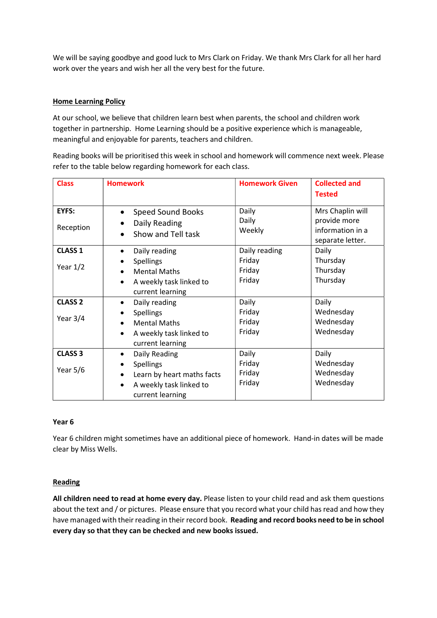We will be saying goodbye and good luck to Mrs Clark on Friday. We thank Mrs Clark for all her hard work over the years and wish her all the very best for the future.

#### Home Learning Policy

At our school, we believe that children learn best when parents, the school and children work together in partnership. Home Learning should be a positive experience which is manageable, meaningful and enjoyable for parents, teachers and children.

Reading books will be prioritised this week in school and homework will commence next week. Please refer to the table below regarding homework for each class.

| <b>Class</b>                 | <b>Homework</b>                                                                                                                          | <b>Homework Given</b>                       | <b>Collected and</b><br><b>Tested</b>                                    |
|------------------------------|------------------------------------------------------------------------------------------------------------------------------------------|---------------------------------------------|--------------------------------------------------------------------------|
| EYFS:<br>Reception           | <b>Speed Sound Books</b><br>Daily Reading<br>$\bullet$<br>Show and Tell task                                                             | Daily<br>Daily<br>Weekly                    | Mrs Chaplin will<br>provide more<br>information in a<br>separate letter. |
| <b>CLASS 1</b><br>Year $1/2$ | Daily reading<br>$\bullet$<br><b>Spellings</b><br><b>Mental Maths</b><br>A weekly task linked to<br>current learning                     | Daily reading<br>Friday<br>Friday<br>Friday | Daily<br>Thursday<br>Thursday<br>Thursday                                |
| <b>CLASS 2</b><br>Year $3/4$ | Daily reading<br>$\bullet$<br><b>Spellings</b><br><b>Mental Maths</b><br>A weekly task linked to<br>$\bullet$<br>current learning        | Daily<br>Friday<br>Friday<br>Friday         | Daily<br>Wednesday<br>Wednesday<br>Wednesday                             |
| <b>CLASS 3</b><br>Year $5/6$ | Daily Reading<br>$\bullet$<br><b>Spellings</b><br>Learn by heart maths facts<br>$\bullet$<br>A weekly task linked to<br>current learning | Daily<br>Friday<br>Friday<br>Friday         | Daily<br>Wednesday<br>Wednesday<br>Wednesday                             |

#### Year 6

Year 6 children might sometimes have an additional piece of homework. Hand-in dates will be made clear by Miss Wells.

#### Reading

All children need to read at home every day. Please listen to your child read and ask them questions about the text and / or pictures. Please ensure that you record what your child has read and how they have managed with their reading in their record book. Reading and record books need to be in school every day so that they can be checked and new books issued.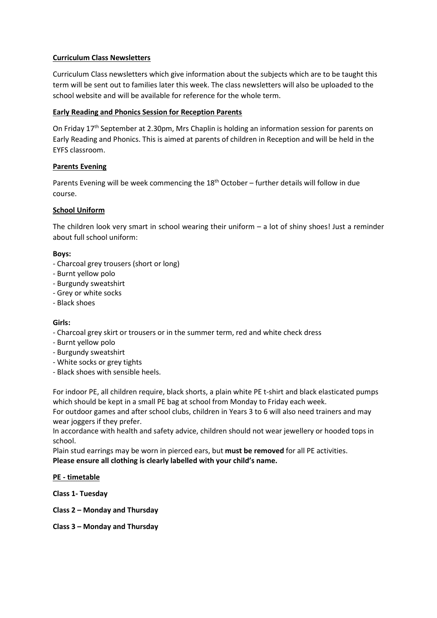### Curriculum Class Newsletters

Curriculum Class newsletters which give information about the subjects which are to be taught this term will be sent out to families later this week. The class newsletters will also be uploaded to the school website and will be available for reference for the whole term.

### Early Reading and Phonics Session for Reception Parents

On Friday 17<sup>th</sup> September at 2.30pm, Mrs Chaplin is holding an information session for parents on Early Reading and Phonics. This is aimed at parents of children in Reception and will be held in the EYFS classroom.

### Parents Evening

Parents Evening will be week commencing the  $18<sup>th</sup>$  October – further details will follow in due course.

### School Uniform

The children look very smart in school wearing their uniform  $-$  a lot of shiny shoes! Just a reminder about full school uniform:

#### Boys:

- Charcoal grey trousers (short or long)
- Burnt yellow polo
- Burgundy sweatshirt
- Grey or white socks
- Black shoes

#### Girls:

- Charcoal grey skirt or trousers or in the summer term, red and white check dress
- Burnt yellow polo
- Burgundy sweatshirt
- White socks or grey tights
- Black shoes with sensible heels.

For indoor PE, all children require, black shorts, a plain white PE t-shirt and black elasticated pumps which should be kept in a small PE bag at school from Monday to Friday each week.

For outdoor games and after school clubs, children in Years 3 to 6 will also need trainers and may wear joggers if they prefer.

In accordance with health and safety advice, children should not wear jewellery or hooded tops in school.

Plain stud earrings may be worn in pierced ears, but must be removed for all PE activities. Please ensure all clothing is clearly labelled with your child's name.

PE - timetable

Class 1- Tuesday

Class 2 – Monday and Thursday

Class 3 – Monday and Thursday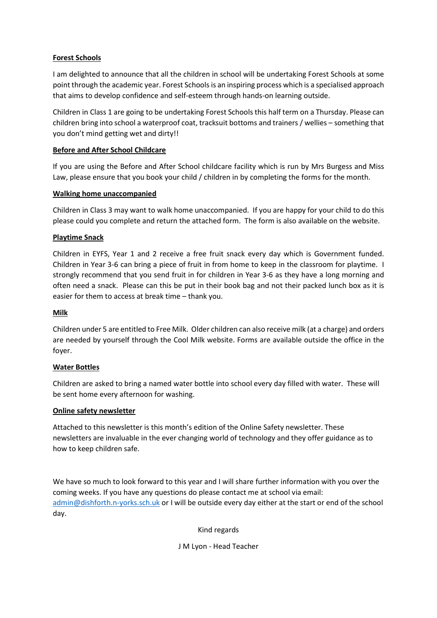# Forest Schools

I am delighted to announce that all the children in school will be undertaking Forest Schools at some point through the academic year. Forest Schools is an inspiring process which is a specialised approach that aims to develop confidence and self-esteem through hands-on learning outside.

Children in Class 1 are going to be undertaking Forest Schools this half term on a Thursday. Please can children bring into school a waterproof coat, tracksuit bottoms and trainers / wellies – something that you don't mind getting wet and dirty!!

# Before and After School Childcare

If you are using the Before and After School childcare facility which is run by Mrs Burgess and Miss Law, please ensure that you book your child / children in by completing the forms for the month.

# Walking home unaccompanied

Children in Class 3 may want to walk home unaccompanied. If you are happy for your child to do this please could you complete and return the attached form. The form is also available on the website.

# Playtime Snack

Children in EYFS, Year 1 and 2 receive a free fruit snack every day which is Government funded. Children in Year 3-6 can bring a piece of fruit in from home to keep in the classroom for playtime. I strongly recommend that you send fruit in for children in Year 3-6 as they have a long morning and often need a snack. Please can this be put in their book bag and not their packed lunch box as it is easier for them to access at break time – thank you.

### Milk

Children under 5 are entitled to Free Milk. Older children can also receive milk (at a charge) and orders are needed by yourself through the Cool Milk website. Forms are available outside the office in the foyer.

# Water Bottles

Children are asked to bring a named water bottle into school every day filled with water. These will be sent home every afternoon for washing.

# Online safety newsletter

Attached to this newsletter is this month's edition of the Online Safety newsletter. These newsletters are invaluable in the ever changing world of technology and they offer guidance as to how to keep children safe.

We have so much to look forward to this year and I will share further information with you over the coming weeks. If you have any questions do please contact me at school via email: admin@dishforth.n-yorks.sch.uk or I will be outside every day either at the start or end of the school day.

Kind regards

J M Lyon - Head Teacher